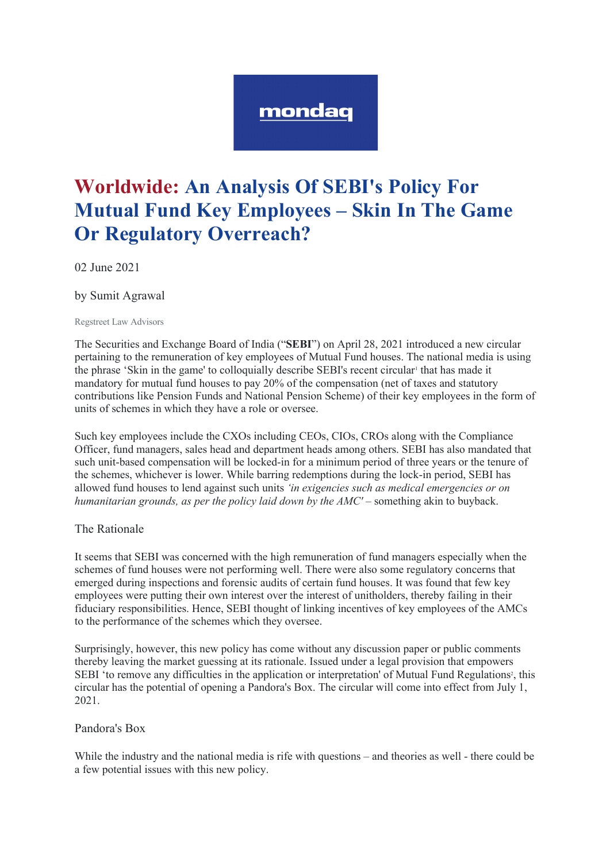# mondag

# **Worldwide: An Analysis Of SEBI's Policy For Mutual Fund Key Employees – Skin In The Game Or Regulatory Overreach?**

02 June 2021

by Sumit Agrawal

Regstreet Law Advisors

The Securities and Exchange Board of India ("**SEBI**") on April 28, 2021 introduced a new circular pertaining to the remuneration of key employees of Mutual Fund houses. The national media is using the phrase 'Skin in the game' to colloquially describe SEBI's recent circular that has made it mandatory for mutual fund houses to pay 20% of the compensation (net of taxes and statutory contributions like Pension Funds and National Pension Scheme) of their key employees in the form of units of schemes in which they have a role or oversee.

Such key employees include the CXOs including CEOs, CIOs, CROs along with the Compliance Officer, fund managers, sales head and department heads among others. SEBI has also mandated that such unit-based compensation will be locked-in for a minimum period of three years or the tenure of the schemes, whichever is lower. While barring redemptions during the lock-in period, SEBI has allowed fund houses to lend against such units *'in exigencies such as medical emergencies or on humanitarian grounds, as per the policy laid down by the AMC'* – something akin to buyback.

# The Rationale

It seems that SEBI was concerned with the high remuneration of fund managers especially when the schemes of fund houses were not performing well. There were also some regulatory concerns that emerged during inspections and forensic audits of certain fund houses. It was found that few key employees were putting their own interest over the interest of unitholders, thereby failing in their fiduciary responsibilities. Hence, SEBI thought of linking incentives of key employees of the AMCs to the performance of the schemes which they oversee.

Surprisingly, however, this new policy has come without any discussion paper or public comments thereby leaving the market guessing at its rationale. Issued under a legal provision that empowers SEBI 'to remove any difficulties in the application or interpretation' of Mutual Fund Regulations<sup>2</sup>, this circular has the potential of opening a Pandora's Box. The circular will come into effect from July 1, 2021.

#### Pandora's Box

While the industry and the national media is rife with questions – and theories as well - there could be a few potential issues with this new policy.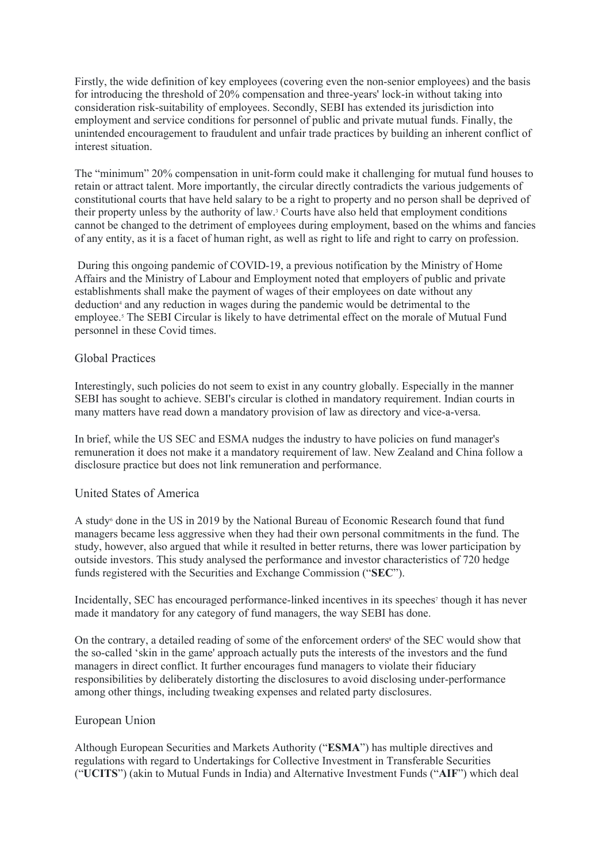Firstly, the wide definition of key employees (covering even the non-senior employees) and the basis for introducing the threshold of 20% compensation and three-years' lock-in without taking into consideration risk-suitability of employees. Secondly, SEBI has extended its jurisdiction into employment and service conditions for personnel of public and private mutual funds. Finally, the unintended encouragement to fraudulent and unfair trade practices by building an inherent conflict of interest situation.

The "minimum" 20% compensation in unit-form could make it challenging for mutual fund houses to retain or attract talent. More importantly, the circular directly contradicts the various judgements of constitutional courts that have held salary to be a right to property and no person shall be deprived of their property unless by the authority of law.3 Courts have also held that employment conditions cannot be changed to the detriment of employees during employment, based on the whims and fancies of any entity, as it is a facet of human right, as well as right to life and right to carry on profession.

During this ongoing pandemic of COVID-19, a previous notification by the Ministry of Home Affairs and the Ministry of Labour and Employment noted that employers of public and private establishments shall make the payment of wages of their employees on date without any deduction<sup>4</sup> and any reduction in wages during the pandemic would be detrimental to the employee.<sup>5</sup> The SEBI Circular is likely to have detrimental effect on the morale of Mutual Fund personnel in these Covid times.

### Global Practices

Interestingly, such policies do not seem to exist in any country globally. Especially in the manner SEBI has sought to achieve. SEBI's circular is clothed in mandatory requirement. Indian courts in many matters have read down a mandatory provision of law as directory and vice-a-versa.

In brief, while the US SEC and ESMA nudges the industry to have policies on fund manager's remuneration it does not make it a mandatory requirement of law. New Zealand and China follow a disclosure practice but does not link remuneration and performance.

#### United States of America

A study6 done in the US in 2019 by the National Bureau of Economic Research found that fund managers became less aggressive when they had their own personal commitments in the fund. The study, however, also argued that while it resulted in better returns, there was lower participation by outside investors. This study analysed the performance and investor characteristics of 720 hedge funds registered with the Securities and Exchange Commission ("**SEC**").

Incidentally, SEC has encouraged performance-linked incentives in its speeches<sup>7</sup> though it has never made it mandatory for any category of fund managers, the way SEBI has done.

On the contrary, a detailed reading of some of the enforcement orders<sup>8</sup> of the SEC would show that the so-called 'skin in the game' approach actually puts the interests of the investors and the fund managers in direct conflict. It further encourages fund managers to violate their fiduciary responsibilities by deliberately distorting the disclosures to avoid disclosing under-performance among other things, including tweaking expenses and related party disclosures.

#### European Union

Although European Securities and Markets Authority ("**ESMA**") has multiple directives and regulations with regard to Undertakings for Collective Investment in Transferable Securities ("**UCITS**") (akin to Mutual Funds in India) and Alternative Investment Funds ("**AIF**") which deal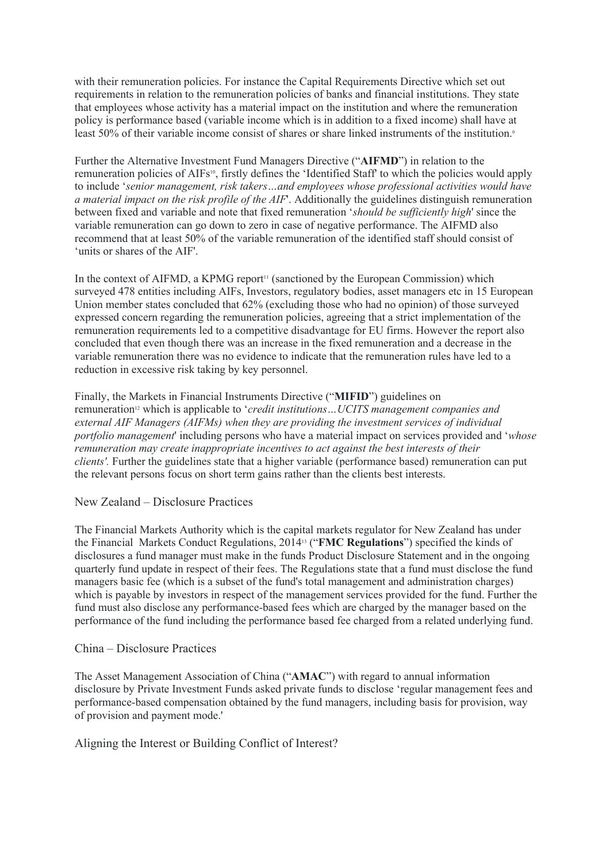with their remuneration policies. For instance the Capital Requirements Directive which set out requirements in relation to the remuneration policies of banks and financial institutions. They state that employees whose activity has a material impact on the institution and where the remuneration policy is performance based (variable income which is in addition to a fixed income) shall have at least 50% of their variable income consist of shares or share linked instruments of the institution.9

Further the Alternative Investment Fund Managers Directive ("**AIFMD**") in relation to the remuneration policies of AIFs<sup>10</sup>, firstly defines the 'Identified Staff' to which the policies would apply to include '*senior management, risk takers…and employees whose professional activities would have a material impact on the risk profile of the AIF*'. Additionally the guidelines distinguish remuneration between fixed and variable and note that fixed remuneration '*should be sufficiently high*' since the variable remuneration can go down to zero in case of negative performance. The AIFMD also recommend that at least 50% of the variable remuneration of the identified staff should consist of 'units or shares of the AIF'.

In the context of AIFMD, a KPMG report<sup>11</sup> (sanctioned by the European Commission) which surveyed 478 entities including AIFs, Investors, regulatory bodies, asset managers etc in 15 European Union member states concluded that 62% (excluding those who had no opinion) of those surveyed expressed concern regarding the remuneration policies, agreeing that a strict implementation of the remuneration requirements led to a competitive disadvantage for EU firms. However the report also concluded that even though there was an increase in the fixed remuneration and a decrease in the variable remuneration there was no evidence to indicate that the remuneration rules have led to a reduction in excessive risk taking by key personnel.

Finally, the Markets in Financial Instruments Directive ("**MIFID**") guidelines on remuneration<sup>12</sup> which is applicable to '*credit institutions*... UCITS management companies and *external AIF Managers (AIFMs) when they are providing the investment services of individual portfolio management*' including persons who have a material impact on services provided and '*whose remuneration may create inappropriate incentives to act against the best interests of their clients'.* Further the guidelines state that a higher variable (performance based) remuneration can put the relevant persons focus on short term gains rather than the clients best interests.

New Zealand – Disclosure Practices

The Financial Markets Authority which is the capital markets regulator for New Zealand has under the Financial Markets Conduct Regulations, 201413 ("**FMC Regulations**") specified the kinds of disclosures a fund manager must make in the funds Product Disclosure Statement and in the ongoing quarterly fund update in respect of their fees. The Regulations state that a fund must disclose the fund managers basic fee (which is a subset of the fund's total management and administration charges) which is payable by investors in respect of the management services provided for the fund. Further the fund must also disclose any performance-based fees which are charged by the manager based on the performance of the fund including the performance based fee charged from a related underlying fund.

# China – Disclosure Practices

The Asset Management Association of China ("**AMAC**") with regard to annual information disclosure by Private Investment Funds asked private funds to disclose 'regular management fees and performance-based compensation obtained by the fund managers, including basis for provision, way of provision and payment mode.'

Aligning the Interest or Building Conflict of Interest?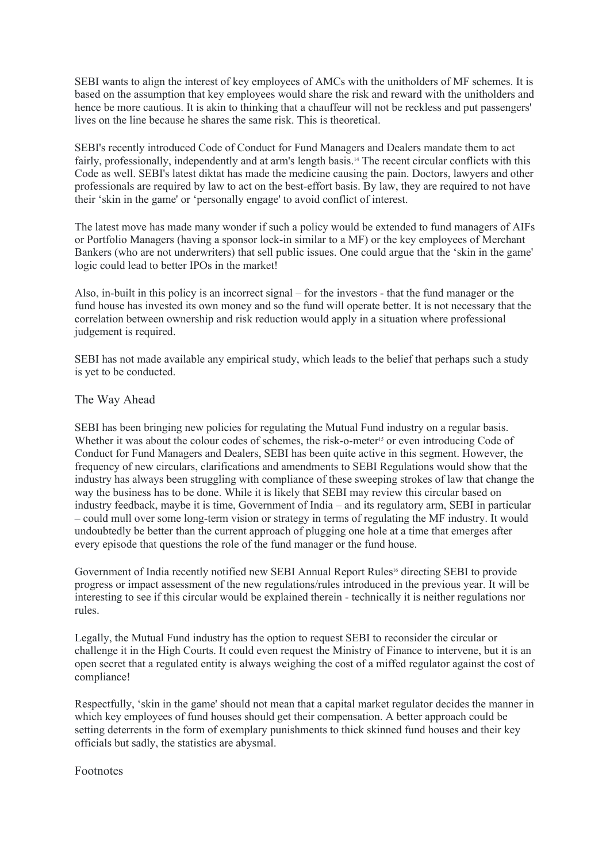SEBI wants to align the interest of key employees of AMCs with the unitholders of MF schemes. It is based on the assumption that key employees would share the risk and reward with the unitholders and hence be more cautious. It is akin to thinking that a chauffeur will not be reckless and put passengers' lives on the line because he shares the same risk. This is theoretical.

SEBI's recently introduced Code of Conduct for Fund Managers and Dealers mandate them to act fairly, professionally, independently and at arm's length basis.<sup>14</sup> The recent circular conflicts with this Code as well. SEBI's latest diktat has made the medicine causing the pain. Doctors, lawyers and other professionals are required by law to act on the best-effort basis. By law, they are required to not have their 'skin in the game' or 'personally engage' to avoid conflict of interest.

The latest move has made many wonder if such a policy would be extended to fund managers of AIFs or Portfolio Managers (having a sponsor lock-in similar to a MF) or the key employees of Merchant Bankers (who are not underwriters) that sell public issues. One could argue that the 'skin in the game' logic could lead to better IPOs in the market!

Also, in-built in this policy is an incorrect signal – for the investors - that the fund manager or the fund house has invested its own money and so the fund will operate better. It is not necessary that the correlation between ownership and risk reduction would apply in a situation where professional judgement is required.

SEBI has not made available any empirical study, which leads to the belief that perhaps such a study is yet to be conducted.

#### The Way Ahead

SEBI has been bringing new policies for regulating the Mutual Fund industry on a regular basis. Whether it was about the colour codes of schemes, the risk-o-meter<sup>15</sup> or even introducing Code of Conduct for Fund Managers and Dealers, SEBI has been quite active in this segment. However, the frequency of new circulars, clarifications and amendments to SEBI Regulations would show that the industry has always been struggling with compliance of these sweeping strokes of law that change the way the business has to be done. While it is likely that SEBI may review this circular based on industry feedback, maybe it is time, Government of India – and its regulatory arm, SEBI in particular – could mull over some long-term vision or strategy in terms of regulating the MF industry. It would undoubtedly be better than the current approach of plugging one hole at a time that emerges after every episode that questions the role of the fund manager or the fund house.

Government of India recently notified new SEBI Annual Report Rules16 directing SEBI to provide progress or impact assessment of the new regulations/rules introduced in the previous year. It will be interesting to see if this circular would be explained therein - technically it is neither regulations nor rules.

Legally, the Mutual Fund industry has the option to request SEBI to reconsider the circular or challenge it in the High Courts. It could even request the Ministry of Finance to intervene, but it is an open secret that a regulated entity is always weighing the cost of a miffed regulator against the cost of compliance!

Respectfully, 'skin in the game' should not mean that a capital market regulator decides the manner in which key employees of fund houses should get their compensation. A better approach could be setting deterrents in the form of exemplary punishments to thick skinned fund houses and their key officials but sadly, the statistics are abysmal.

#### Footnotes